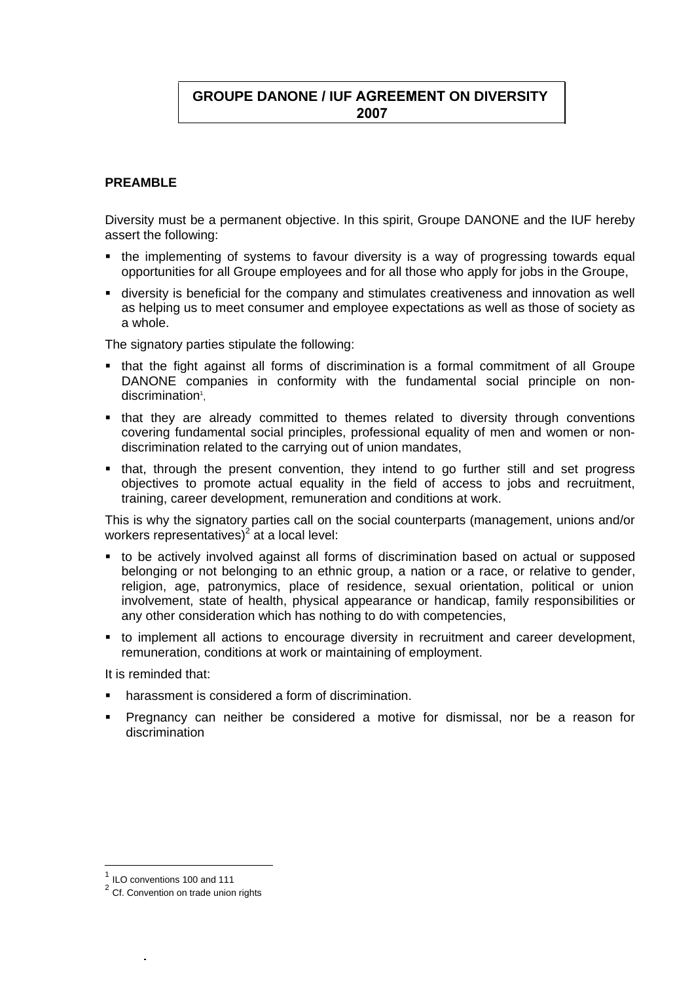# **GROUPE DANONE / IUF AGREEMENT ON DIVERSITY 2007**

#### **PREAMBLE**

Diversity must be a permanent objective. In this spirit, Groupe DANONE and the IUF hereby assert the following:

- the implementing of systems to favour diversity is a way of progressing towards equal opportunities for all Groupe employees and for all those who apply for jobs in the Groupe,
- diversity is beneficial for the company and stimulates creativeness and innovation as well as helping us to meet consumer and employee expectations as well as those of society as a whole.

The signatory parties stipulate the following:

- that the fight against all forms of discrimination is a formal commitment of all Groupe DANONE companies in conformity with the fundamental social principle on nondiscrimination<sup>1</sup>,
- that they are already committed to themes related to diversity through conventions covering fundamental social principles, professional equality of men and women or nondiscrimination related to the carrying out of union mandates,
- that, through the present convention, they intend to go further still and set progress objectives to promote actual equality in the field of access to jobs and recruitment, training, career development, remuneration and conditions at work.

This is why the signatory parties call on the social counterparts (management, unions and/or workers representatives)<sup>2</sup> at a local level:

- to be actively involved against all forms of discrimination based on actual or supposed belonging or not belonging to an ethnic group, a nation or a race, or relative to gender, religion, age, patronymics, place of residence, sexual orientation, political or union involvement, state of health, physical appearance or handicap, family responsibilities or any other consideration which has nothing to do with competencies,
- to implement all actions to encourage diversity in recruitment and career development, remuneration, conditions at work or maintaining of employment.

It is reminded that:

- harassment is considered a form of discrimination.
- Pregnancy can neither be considered a motive for dismissal, nor be a reason for discrimination

 $<sup>1</sup>$  ILO conventions 100 and 111</sup>

<sup>&</sup>lt;sup>2</sup> Cf. Convention on trade union rights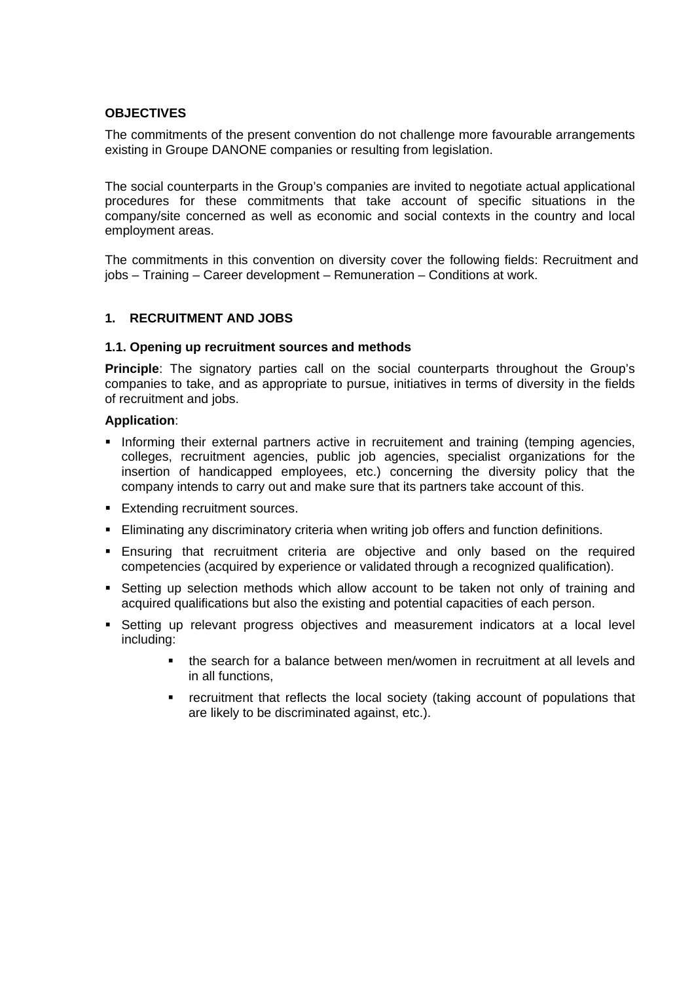## **OBJECTIVES**

The commitments of the present convention do not challenge more favourable arrangements existing in Groupe DANONE companies or resulting from legislation.

The social counterparts in the Group's companies are invited to negotiate actual applicational procedures for these commitments that take account of specific situations in the company/site concerned as well as economic and social contexts in the country and local employment areas.

The commitments in this convention on diversity cover the following fields: Recruitment and jobs – Training – Career development – Remuneration – Conditions at work.

## **1. RECRUITMENT AND JOBS**

#### **1.1. Opening up recruitment sources and methods**

**Principle**: The signatory parties call on the social counterparts throughout the Group's companies to take, and as appropriate to pursue, initiatives in terms of diversity in the fields of recruitment and jobs.

#### **Application**:

- **Informing their external partners active in recruitement and training (temping agencies,** colleges, recruitment agencies, public job agencies, specialist organizations for the insertion of handicapped employees, etc.) concerning the diversity policy that the company intends to carry out and make sure that its partners take account of this.
- **Extending recruitment sources.**
- Eliminating any discriminatory criteria when writing job offers and function definitions.
- Ensuring that recruitment criteria are objective and only based on the required competencies (acquired by experience or validated through a recognized qualification).
- **Setting up selection methods which allow account to be taken not only of training and** acquired qualifications but also the existing and potential capacities of each person.
- **Setting up relevant progress objectives and measurement indicators at a local level** including:
	- the search for a balance between men/women in recruitment at all levels and in all functions,
	- recruitment that reflects the local society (taking account of populations that are likely to be discriminated against, etc.).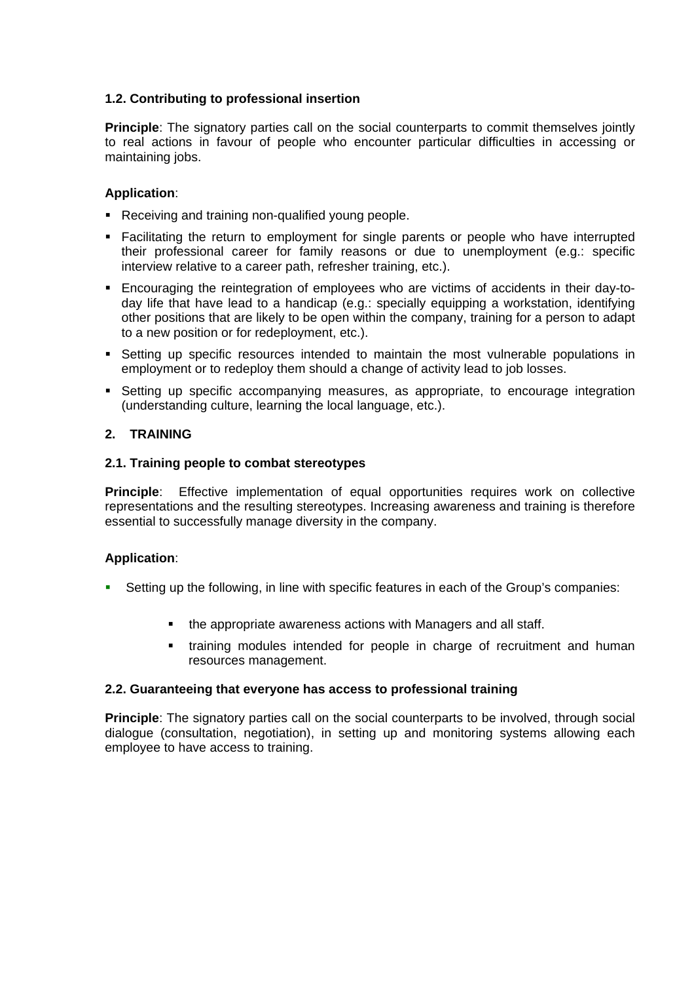## **1.2. Contributing to professional insertion**

**Principle**: The signatory parties call on the social counterparts to commit themselves jointly to real actions in favour of people who encounter particular difficulties in accessing or maintaining jobs.

## **Application**:

- Receiving and training non-qualified young people.
- Facilitating the return to employment for single parents or people who have interrupted their professional career for family reasons or due to unemployment (e.g.: specific interview relative to a career path, refresher training, etc.).
- Encouraging the reintegration of employees who are victims of accidents in their day-today life that have lead to a handicap (e.g.: specially equipping a workstation, identifying other positions that are likely to be open within the company, training for a person to adapt to a new position or for redeployment, etc.).
- Setting up specific resources intended to maintain the most vulnerable populations in employment or to redeploy them should a change of activity lead to job losses.
- **Setting up specific accompanying measures, as appropriate, to encourage integration** (understanding culture, learning the local language, etc.).

## **2. TRAINING**

#### **2.1. Training people to combat stereotypes**

**Principle**: Effective implementation of equal opportunities requires work on collective representations and the resulting stereotypes. Increasing awareness and training is therefore essential to successfully manage diversity in the company.

## **Application**:

- Setting up the following, in line with specific features in each of the Group's companies:
	- the appropriate awareness actions with Managers and all staff.
	- training modules intended for people in charge of recruitment and human resources management.

#### **2.2. Guaranteeing that everyone has access to professional training**

**Principle**: The signatory parties call on the social counterparts to be involved, through social dialogue (consultation, negotiation), in setting up and monitoring systems allowing each employee to have access to training.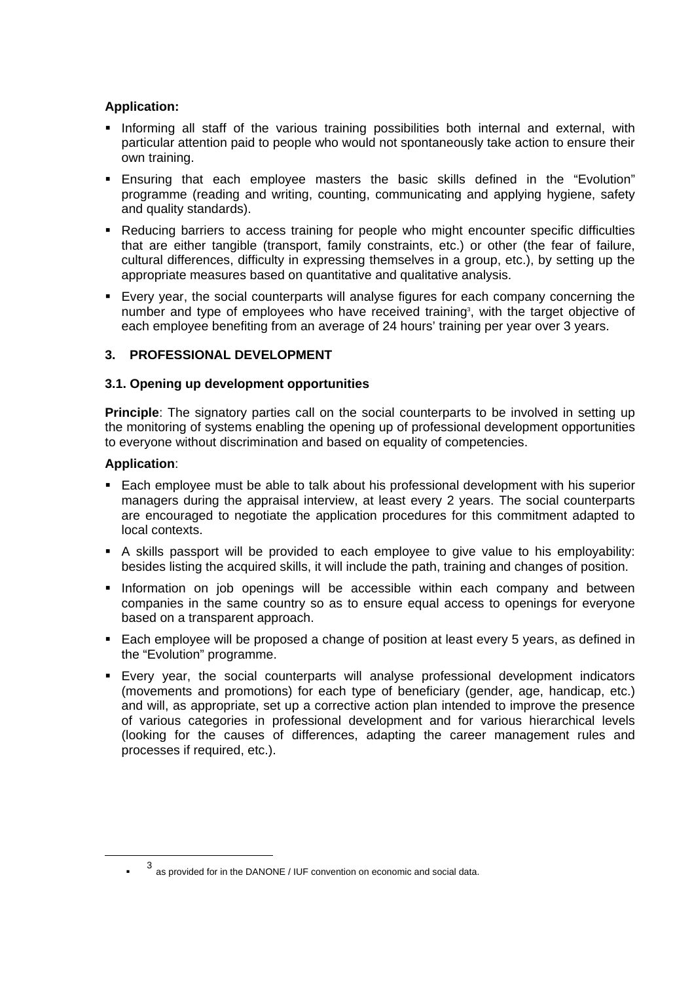## **Application:**

- **Informing all staff of the various training possibilities both internal and external, with** particular attention paid to people who would not spontaneously take action to ensure their own training.
- Ensuring that each employee masters the basic skills defined in the "Evolution" programme (reading and writing, counting, communicating and applying hygiene, safety and quality standards).
- **•** Reducing barriers to access training for people who might encounter specific difficulties that are either tangible (transport, family constraints, etc.) or other (the fear of failure, cultural differences, difficulty in expressing themselves in a group, etc.), by setting up the appropriate measures based on quantitative and qualitative analysis.
- Every year, the social counterparts will analyse figures for each company concerning the number and type of employees who have received training<sup>3</sup>, with the target objective of each employee benefiting from an average of 24 hours' training per year over 3 years.

## **3. PROFESSIONAL DEVELOPMENT**

## **3.1. Opening up development opportunities**

**Principle**: The signatory parties call on the social counterparts to be involved in setting up the monitoring of systems enabling the opening up of professional development opportunities to everyone without discrimination and based on equality of competencies.

## **Application**:

- Each employee must be able to talk about his professional development with his superior managers during the appraisal interview, at least every 2 years. The social counterparts are encouraged to negotiate the application procedures for this commitment adapted to local contexts.
- A skills passport will be provided to each employee to give value to his employability: besides listing the acquired skills, it will include the path, training and changes of position.
- **Information on job openings will be accessible within each company and between** companies in the same country so as to ensure equal access to openings for everyone based on a transparent approach.
- Each employee will be proposed a change of position at least every 5 years, as defined in the "Evolution" programme.
- Every year, the social counterparts will analyse professional development indicators (movements and promotions) for each type of beneficiary (gender, age, handicap, etc.) and will, as appropriate, set up a corrective action plan intended to improve the presence of various categories in professional development and for various hierarchical levels (looking for the causes of differences, adapting the career management rules and processes if required, etc.).

<sup>3</sup> as provided for in the DANONE / IUF convention on economic and social data.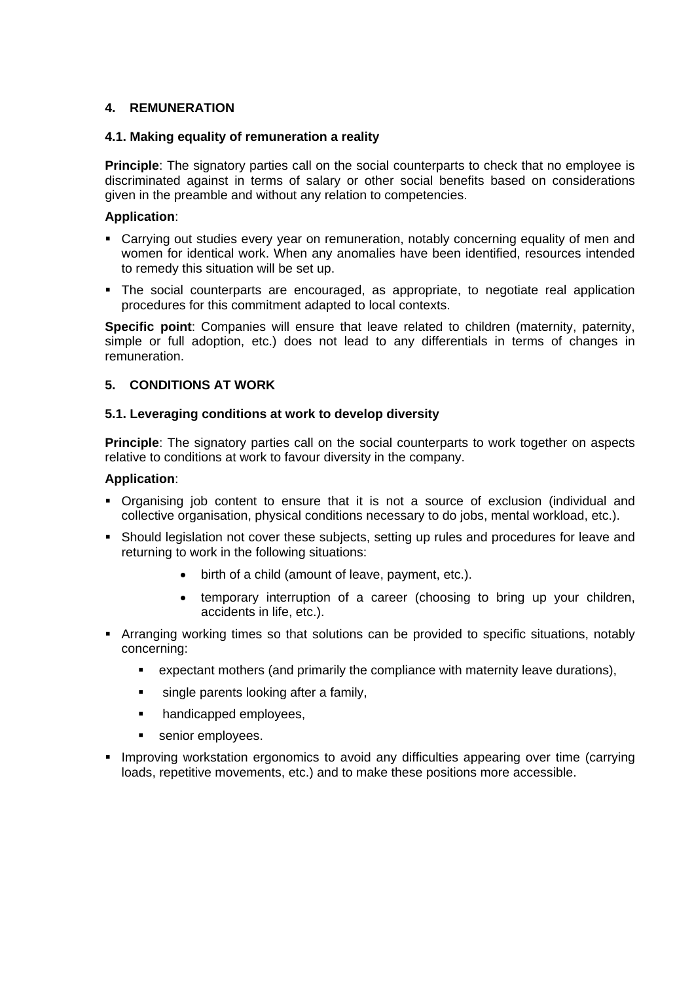## **4. REMUNERATION**

## **4.1. Making equality of remuneration a reality**

**Principle**: The signatory parties call on the social counterparts to check that no employee is discriminated against in terms of salary or other social benefits based on considerations given in the preamble and without any relation to competencies.

#### **Application**:

- Carrying out studies every year on remuneration, notably concerning equality of men and women for identical work. When any anomalies have been identified, resources intended to remedy this situation will be set up.
- The social counterparts are encouraged, as appropriate, to negotiate real application procedures for this commitment adapted to local contexts.

**Specific point**: Companies will ensure that leave related to children (maternity, paternity, simple or full adoption, etc.) does not lead to any differentials in terms of changes in remuneration.

## **5. CONDITIONS AT WORK**

## **5.1. Leveraging conditions at work to develop diversity**

**Principle**: The signatory parties call on the social counterparts to work together on aspects relative to conditions at work to favour diversity in the company.

#### **Application**:

- Organising job content to ensure that it is not a source of exclusion (individual and collective organisation, physical conditions necessary to do jobs, mental workload, etc.).
- Should legislation not cover these subjects, setting up rules and procedures for leave and returning to work in the following situations:
	- birth of a child (amount of leave, payment, etc.).
	- temporary interruption of a career (choosing to bring up your children, accidents in life, etc.).
- Arranging working times so that solutions can be provided to specific situations, notably concerning:
	- expectant mothers (and primarily the compliance with maternity leave durations),
	- single parents looking after a family,
	- handicapped employees,
	- senior employees.
- **IMPROVING WORKST INGOVIDE 10 AVOID 2015** Improving improving user time (carrying improving 1 loads, repetitive movements, etc.) and to make these positions more accessible.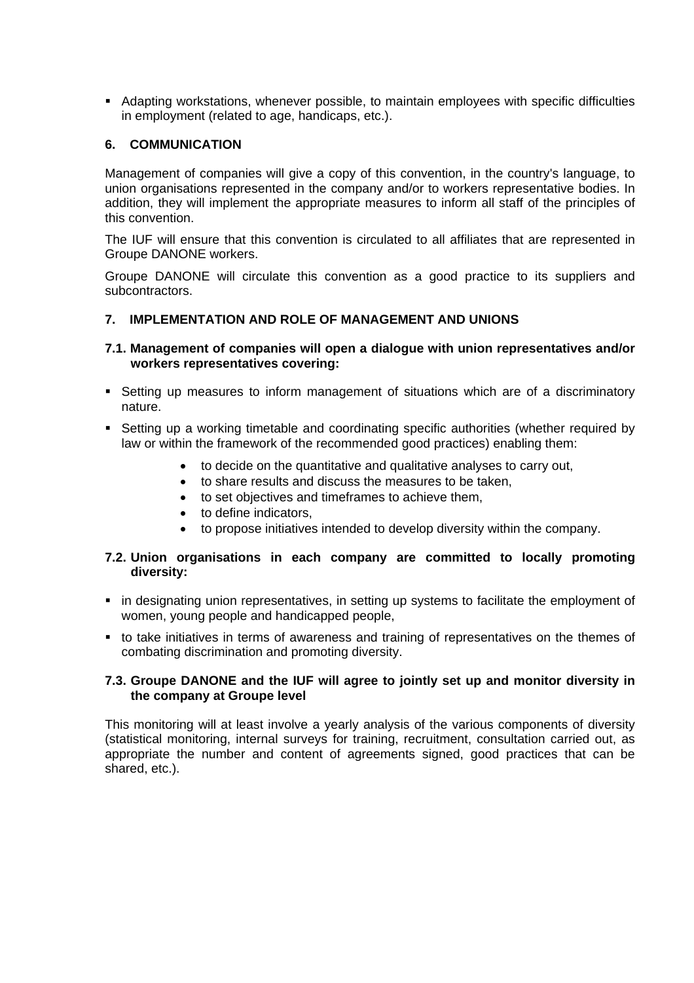Adapting workstations, whenever possible, to maintain employees with specific difficulties in employment (related to age, handicaps, etc.).

#### **6. COMMUNICATION**

Management of companies will give a copy of this convention, in the country's language, to union organisations represented in the company and/or to workers representative bodies. In addition, they will implement the appropriate measures to inform all staff of the principles of this convention.

The IUF will ensure that this convention is circulated to all affiliates that are represented in Groupe DANONE workers.

Groupe DANONE will circulate this convention as a good practice to its suppliers and subcontractors.

#### **7. IMPLEMENTATION AND ROLE OF MANAGEMENT AND UNIONS**

#### **7.1. Management of companies will open a dialogue with union representatives and/or workers representatives covering:**

- Setting up measures to inform management of situations which are of a discriminatory nature.
- Setting up a working timetable and coordinating specific authorities (whether required by law or within the framework of the recommended good practices) enabling them:
	- to decide on the quantitative and qualitative analyses to carry out,
	- to share results and discuss the measures to be taken,
	- to set objectives and timeframes to achieve them,
	- to define indicators,
	- to propose initiatives intended to develop diversity within the company.

#### **7.2. Union organisations in each company are committed to locally promoting diversity:**

- in designating union representatives, in setting up systems to facilitate the employment of women, young people and handicapped people,
- to take initiatives in terms of awareness and training of representatives on the themes of combating discrimination and promoting diversity.

#### **7.3. Groupe DANONE and the IUF will agree to jointly set up and monitor diversity in the company at Groupe level**

This monitoring will at least involve a yearly analysis of the various components of diversity (statistical monitoring, internal surveys for training, recruitment, consultation carried out, as appropriate the number and content of agreements signed, good practices that can be shared, etc.).